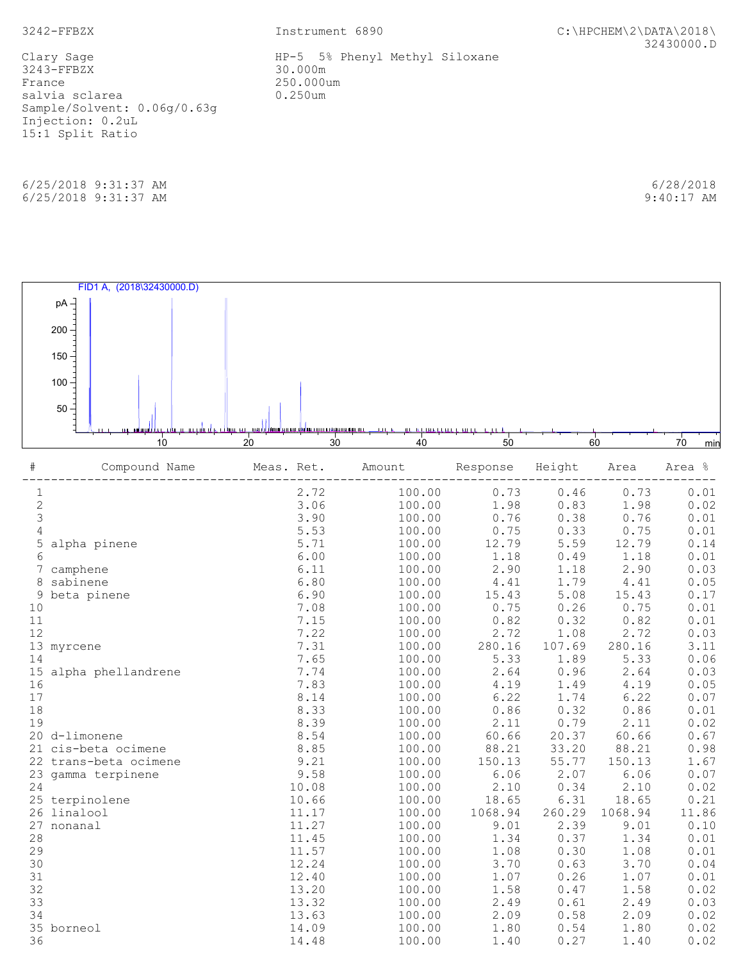3242-FFBZX Instrument 6890 C:\HPCHEM\2\DATA\2018\ 32430000.D

 3243-FFBZX 30.000m France 250.000um<br>salvia sclarea (1999) 0.250um salvia sclarea Sample/Solvent: 0.06g/0.63g Injection: 0.2uL 15:1 Split Ratio

 6/25/2018 9:31:37 AM 6/28/2018 6/25/2018 9:31:37 AM 9:40:17 AM

Clary Sage Theory Clary Sage HP-5 5% Phenyl Methyl Siloxane



| $\#$                                       | Compound Name         | Meas. Ret. | Amount | Response Height |        | Area    | Area % |
|--------------------------------------------|-----------------------|------------|--------|-----------------|--------|---------|--------|
|                                            |                       | 2.72       | 100.00 | 0.73            | 0.46   | 0.73    | 0.01   |
| $\begin{array}{c} 1 \\ 2 \\ 3 \end{array}$ |                       | 3.06       | 100.00 | 1.98            | 0.83   | 1.98    | 0.02   |
|                                            |                       | 3.90       | 100.00 | 0.76            | 0.38   | 0.76    | 0.01   |
| $\overline{4}$                             |                       | 5.53       | 100.00 | 0.75            | 0.33   | 0.75    | 0.01   |
| 5                                          | alpha pinene          | 5.71       | 100.00 | 12.79           | 5.59   | 12.79   | 0.14   |
| 6                                          |                       | 6.00       | 100.00 | 1.18            | 0.49   | 1.18    | 0.01   |
|                                            | 7 camphene            | 6.11       | 100.00 | 2.90            | 1.18   | 2.90    | 0.03   |
|                                            | 8 sabinene            | 6.80       | 100.00 | 4.41            | 1.79   | 4.41    | 0.05   |
| 9                                          | beta pinene           | 6.90       | 100.00 | 15.43           | 5.08   | 15.43   | 0.17   |
| 10                                         |                       | 7.08       | 100.00 | 0.75            | 0.26   | 0.75    | 0.01   |
| 11                                         |                       | 7.15       | 100.00 | 0.82            | 0.32   | 0.82    | 0.01   |
| 12                                         |                       | 7.22       | 100.00 | 2.72            | 1.08   | 2.72    | 0.03   |
|                                            | 13 myrcene            | 7.31       | 100.00 | 280.16          | 107.69 | 280.16  | 3.11   |
| 14                                         |                       | 7.65       | 100.00 | 5.33            | 1.89   | 5.33    | 0.06   |
|                                            | 15 alpha phellandrene | 7.74       | 100.00 | 2.64            | 0.96   | 2.64    | 0.03   |
| 16                                         |                       | 7.83       | 100.00 | 4.19            | 1.49   | 4.19    | 0.05   |
| 17                                         |                       | 8.14       | 100.00 | 6.22            | 1.74   | 6.22    | 0.07   |
| 18                                         |                       | 8.33       | 100.00 | 0.86            | 0.32   | 0.86    | 0.01   |
| 19                                         |                       | 8.39       | 100.00 | 2.11            | 0.79   | 2.11    | 0.02   |
|                                            | 20 d-limonene         | 8.54       | 100.00 | 60.66           | 20.37  | 60.66   | 0.67   |
|                                            | 21 cis-beta ocimene   | 8.85       | 100.00 | 88.21           | 33.20  | 88.21   | 0.98   |
|                                            | 22 trans-beta ocimene | 9.21       | 100.00 | 150.13          | 55.77  | 150.13  | 1.67   |
|                                            | 23 gamma terpinene    | 9.58       | 100.00 | 6.06            | 2.07   | 6.06    | 0.07   |
| 24                                         |                       | 10.08      | 100.00 | 2.10            | 0.34   | 2.10    | 0.02   |
|                                            | 25 terpinolene        | 10.66      | 100.00 | 18.65           | 6.31   | 18.65   | 0.21   |
|                                            | 26 linalool           | 11.17      | 100.00 | 1068.94         | 260.29 | 1068.94 | 11.86  |
| 27                                         | nonanal               | 11.27      | 100.00 | 9.01            | 2.39   | 9.01    | 0.10   |
| 28                                         |                       | 11.45      | 100.00 | 1.34            | 0.37   | 1.34    | 0.01   |
| 29                                         |                       | 11.57      | 100.00 | 1.08            | 0.30   | 1.08    | 0.01   |
| 30                                         |                       | 12.24      | 100.00 | 3.70            | 0.63   | 3.70    | 0.04   |
| 31                                         |                       | 12.40      | 100.00 | 1.07            | 0.26   | 1.07    | 0.01   |
| 32                                         |                       | 13.20      | 100.00 | 1.58            | 0.47   | 1.58    | 0.02   |
| 33                                         |                       | 13.32      | 100.00 | 2.49            | 0.61   | 2.49    | 0.03   |
| 34                                         |                       | 13.63      | 100.00 | 2.09            | 0.58   | 2.09    | 0.02   |
|                                            | 35 borneol            | 14.09      | 100.00 | 1.80            | 0.54   | 1.80    | 0.02   |
| 36                                         |                       | 14.48      | 100.00 | 1.40            | 0.27   | 1.40    | 0.02   |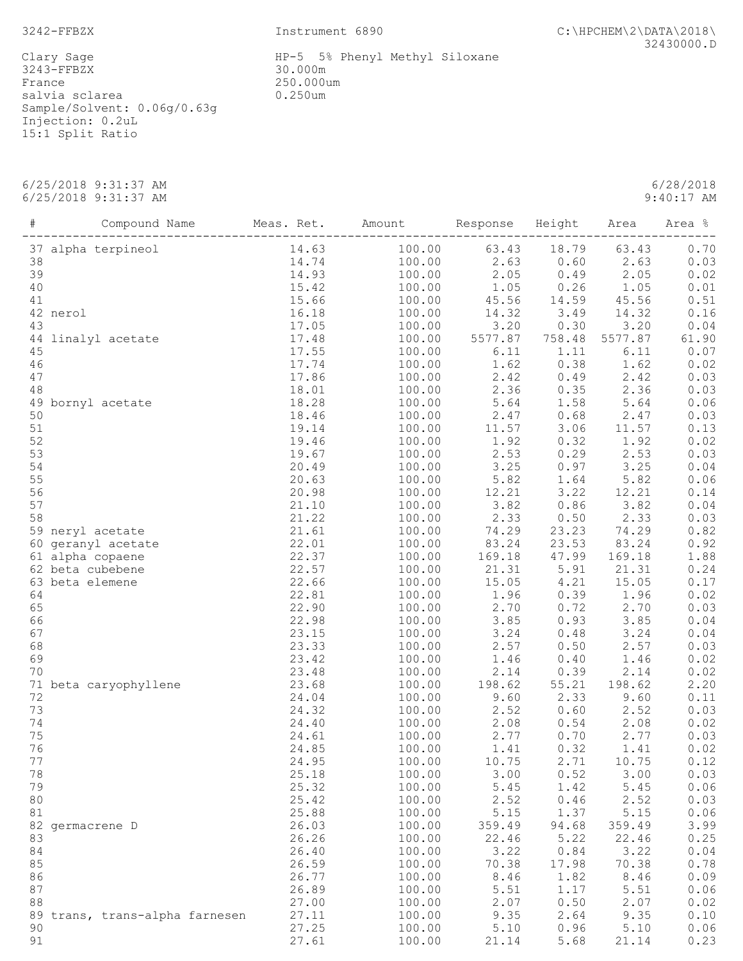Clary Sage<br>3243-FFBZX France 250.000um<br>salvia sclarea (1999) 0.250um salvia sclarea Sample/Solvent: 0.06g/0.63g Injection: 0.2uL 15:1 Split Ratio

 6/25/2018 9:31:37 AM 6/28/2018 6/25/2018 9:31:37 AM

| $\#$   | Compound Name                                                                               | Meas. Ret.                               | Amount | Response Height   |        | Area    | Area % |
|--------|---------------------------------------------------------------------------------------------|------------------------------------------|--------|-------------------|--------|---------|--------|
|        | pineol<br>14.63<br>14.74<br>14.93<br>15.42<br>15.66<br>16.18<br>17.05<br>37 alpha terpineol |                                          | 100.00 | 63.43             | 18.79  | 63.43   | 0.70   |
| 38     |                                                                                             |                                          | 100.00 | $2.63$<br>$2.05$  | 0.60   | 2.63    | 0.03   |
| 39     |                                                                                             |                                          | 100.00 | 2.05              | 0.49   | 2.05    | 0.02   |
| 40     |                                                                                             |                                          | 100.00 | 1.05              | 0.26   | 1.05    | 0.01   |
| 41     |                                                                                             |                                          | 100.00 | 45.56             | 14.59  | 45.56   | 0.51   |
|        | 42 nerol                                                                                    |                                          | 100.00 |                   | 3.49   | 14.32   | 0.16   |
| 43     |                                                                                             |                                          | 100.00 | $14.32$<br>$3.20$ | 0.30   | 3.20    | 0.04   |
| 44     | linalyl acetate                                                                             | 17.48                                    | 100.00 | 5577.87           | 758.48 | 5577.87 | 61.90  |
| 45     |                                                                                             | 17.55                                    | 100.00 | 6.11              | 1.11   | 6.11    | 0.07   |
| 46     |                                                                                             | 17.74                                    | 100.00 | 1.62              | 0.38   | 1.62    | 0.02   |
| 47     |                                                                                             | 17.86                                    | 100.00 | 2.42              | 0.49   | 2.42    | 0.03   |
| 48     |                                                                                             | 18.01                                    | 100.00 | 2.36              | 0.35   | 2.36    | 0.03   |
|        | 49 bornyl acetate                                                                           | 18.28                                    | 100.00 | 5.64              | 1.58   | 5.64    | 0.06   |
| 50     |                                                                                             | 18.46                                    | 100.00 |                   | 0.68   | 2.47    | 0.03   |
| $51\,$ |                                                                                             | 19.14                                    | 100.00 | $2.47$<br>$11.57$ | 3.06   | 11.57   | 0.13   |
| 52     |                                                                                             | 19.46                                    | 100.00 | 1.92              | 0.32   | 1.92    | 0.02   |
| 53     |                                                                                             | 19.67                                    | 100.00 | 2.53              | 0.29   | 2.53    | 0.03   |
| 54     |                                                                                             | 20.49                                    | 100.00 |                   | 0.97   | 3.25    | 0.04   |
| 55     |                                                                                             | 20.63                                    | 100.00 | $3.25$<br>5.82    | 1.64   | 5.82    | 0.06   |
| 56     |                                                                                             | 20.98                                    | 100.00 | 12.21             | 3.22   | 12.21   | 0.14   |
| 57     |                                                                                             | 21.10                                    | 100.00 | 3.82              | 0.86   | 3.82    | 0.04   |
| 58     |                                                                                             |                                          | 100.00 |                   | 0.50   | 2.33    |        |
|        |                                                                                             | $21.22$<br>$21.61$<br>$22.01$<br>$22.37$ |        | 2.33<br>74.29     | 23.23  | 74.29   | 0.03   |
|        | 59 neryl acetate                                                                            |                                          | 100.00 |                   |        |         | 0.82   |
|        | 60 geranyl acetate                                                                          |                                          | 100.00 | 83.24             | 23.53  | 83.24   | 0.92   |
|        | 61 alpha copaene                                                                            |                                          | 100.00 | 169.18            | 47.99  | 169.18  | 1.88   |
|        | 62 beta cubebene                                                                            | 22.57                                    | 100.00 | 21.31             | 5.91   | 21.31   | 0.24   |
|        | 63 beta elemene                                                                             | 22.66                                    | 100.00 | 15.05             | 4.21   | 15.05   | 0.17   |
| 64     |                                                                                             | 22.81                                    | 100.00 | 1.96              | 0.39   | 1.96    | 0.02   |
| 65     |                                                                                             | 22.90                                    | 100.00 | 2.70              | 0.72   | 2.70    | 0.03   |
| 66     |                                                                                             | 22.98                                    | 100.00 | 3.85              | 0.93   | 3.85    | 0.04   |
| 67     |                                                                                             | 23.15                                    | 100.00 | $3.24$<br>2.57    | 0.48   | 3.24    | 0.04   |
| 68     |                                                                                             | 23.33                                    | 100.00 |                   | 0.50   | 2.57    | 0.03   |
| 69     |                                                                                             | 23.42                                    | 100.00 | 1.46              | 0.40   | 1.46    | 0.02   |
| 70     |                                                                                             | 23.48                                    | 100.00 | 2.14              | 0.39   | 2.14    | 0.02   |
|        | 71 beta caryophyllene                                                                       | 23.68                                    | 100.00 | 198.62            | 55.21  | 198.62  | 2.20   |
| 72     |                                                                                             | 24.04                                    | 100.00 | 9.60              | 2.33   | 9.60    | 0.11   |
| 73     |                                                                                             | 24.32                                    | 100.00 | 2.52              | 0.60   | 2.52    | 0.03   |
| 74     |                                                                                             | 24.40                                    | 100.00 | 2.08              | 0.54   | 2.08    | 0.02   |
| 75     |                                                                                             | 24.61                                    | 100.00 | 2.77              | 0.70   | 2.77    | 0.03   |
| 76     |                                                                                             | 24.85                                    | 100.00 | 1.41              | 0.32   | 1.41    | 0.02   |
| 77     |                                                                                             | 24.95                                    | 100.00 | 10.75             | 2.71   | 10.75   | 0.12   |
| 78     |                                                                                             | 25.18                                    | 100.00 | 3.00              | 0.52   | 3.00    | 0.03   |
| 79     |                                                                                             | 25.32                                    | 100.00 | 5.45              | 1.42   | 5.45    | 0.06   |
| 80     |                                                                                             | 25.42                                    | 100.00 | 2.52              | 0.46   | 2.52    | 0.03   |
| 81     |                                                                                             | 25.88                                    | 100.00 | 5.15              | 1.37   | 5.15    | 0.06   |
|        | 82 germacrene D                                                                             | 26.03                                    | 100.00 | 359.49            | 94.68  | 359.49  | 3.99   |
| 83     |                                                                                             | 26.26                                    | 100.00 | 22.46             | 5.22   | 22.46   | 0.25   |
| 84     |                                                                                             | 26.40                                    | 100.00 | 3.22              | 0.84   | 3.22    | 0.04   |
| 85     |                                                                                             | 26.59                                    | 100.00 | 70.38             | 17.98  | 70.38   | 0.78   |
| 86     |                                                                                             | 26.77                                    | 100.00 | 8.46              | 1.82   | 8.46    | 0.09   |
| 87     |                                                                                             | 26.89                                    | 100.00 | 5.51              | 1.17   | 5.51    | 0.06   |
| 88     |                                                                                             | 27.00                                    | 100.00 | 2.07              | 0.50   | 2.07    | 0.02   |
|        | 89 trans, trans-alpha farnesen                                                              | 27.11                                    | 100.00 | 9.35              | 2.64   | 9.35    | 0.10   |
|        |                                                                                             |                                          |        |                   |        |         |        |

 90 27.25 100.00 5.10 0.96 5.10 0.06 91 27.61 100.00 21.14 5.68 21.14 0.23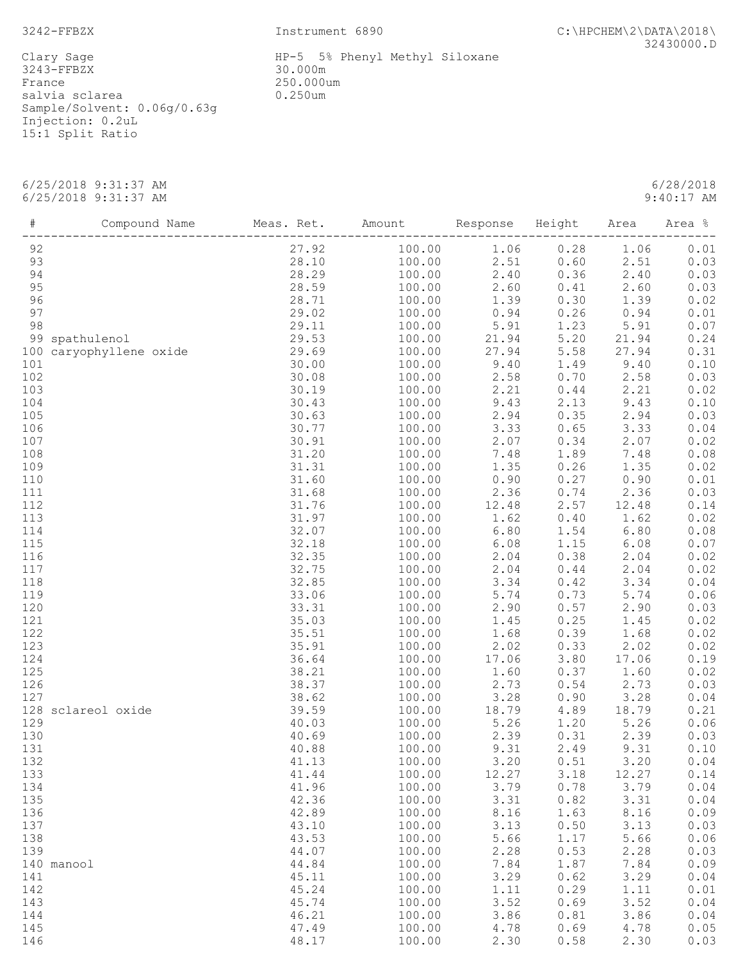Clary Sage Theory Sage HP-5 5% Phenyl Methyl Siloxane 3243-FFBZX 30.000m France 250.000um salvia sclarea  $0.250$ um Sample/Solvent: 0.06g/0.63g Injection: 0.2uL 15:1 Split Ratio

 6/25/2018 9:31:37 AM 6/28/2018 6/25/2018 9:31:37 AM 9:40:17 AM

 # Compound Name Meas. Ret. Amount Response Height Area Area % ------------------------------------------------------------------------------------------------ 92 27.92 100.00 1.06 0.28 1.06 0.01 93 28.10 100.00 2.51 0.60 2.51 0.03 94 28.29 100.00 2.40 0.36 2.40 0.03 95 28.59 100.00 2.60 0.41 2.60 0.03 96 28.71 100.00 1.39 0.30 1.39 0.02 97 29.02 100.00 0.94 0.26 0.94 0.01 98 29.11 100.00 5.91 1.23 5.91 0.07 99 spathulenol 29.53 100.00 21.94 5.20 21.94 0.24 100 caryophyllene oxide 29.69 100.00 27.94 5.58 27.94 0.31 101 30.00 100.00 9.40 1.49 9.40 0.10 102 30.08 100.00 2.58 0.70 2.58 0.03 103 30.19 100.00 2.21 0.44 2.21 0.02 104 30.43 100.00 9.43 2.13 9.43 0.10 105 30.63 100.00 2.94 0.35 2.94 0.03 106 30.77 100.00 3.33 0.65 3.33 0.04 107 30.91 100.00 2.07 0.34 2.07 0.02 108 31.20 100.00 7.48 1.89 7.48 0.08 109 31.31 100.00 1.35 0.26 1.35 0.02 110 31.60 100.00 0.90 0.27 0.90 0.01 111 31.68 100.00 2.36 0.74 2.36 0.03 112 31.76 100.00 12.48 2.57 12.48 0.14 113 31.97 100.00 1.62 0.40 1.62 0.02 114 32.07 100.00 6.80 1.54 6.80 0.08 115 32.18 100.00 6.08 1.15 6.08 0.07 116 32.35 100.00 2.04 0.38 2.04 0.02 117 32.75 100.00 2.04 0.44 2.04 0.02 118 32.85 100.00 3.34 0.42 3.34 0.04 119 33.06 100.00 5.74 0.73 5.74 0.06 120 33.31 100.00 2.90 0.57 2.90 0.03 121 35.03 100.00 1.45 0.25 1.45 0.02 122 35.51 100.00 1.68 0.39 1.68 0.02 123 35.91 100.00 2.02 0.33 2.02 0.02 124 36.64 100.00 17.06 3.80 17.06 0.19 125 38.21 100.00 1.60 0.37 1.60 0.02 126 38.37 100.00 2.73 0.54 2.73 0.03 127 38.62 100.00 3.28 0.90 3.28 0.04 128 sclareol oxide 39.59 100.00 18.79 4.89 18.79 0.21 129 40.03 100.00 5.26 1.20 5.26 0.06 130 40.69 100.00 2.39 0.31 2.39 0.03 131 40.88 100.00 9.31 2.49 9.31 0.10 132 41.13 100.00 3.20 0.51 3.20 0.04 133 41.44 100.00 12.27 3.18 12.27 0.14 134 41.96 100.00 3.79 0.78 3.79 0.04 135 42.36 100.00 3.31 0.82 3.31 0.04 136 42.89 100.00 8.16 1.63 8.16 0.09 137 43.10 100.00 3.13 0.50 3.13 0.03 138 43.53 100.00 5.66 1.17 5.66 0.06 139 44.07 100.00 2.28 0.53 2.28 0.03 140 manool 44.84 100.00 7.84 1.87 7.84 0.09 141 45.11 100.00 3.29 0.62 3.29 0.04 142 45.24 100.00 1.11 0.29 1.11 0.01 143 45.74 100.00 3.52 0.69 3.52 0.04

144 46.21 100.00 3.86 0.81 3.86 0.04 145 47.49 100.00 4.78 0.69 4.78 0.05 146 48.17 100.00 2.30 0.58 2.30 0.03

3242-FFBZX Instrument 6890 C:\HPCHEM\2\DATA\2018\ 32430000.D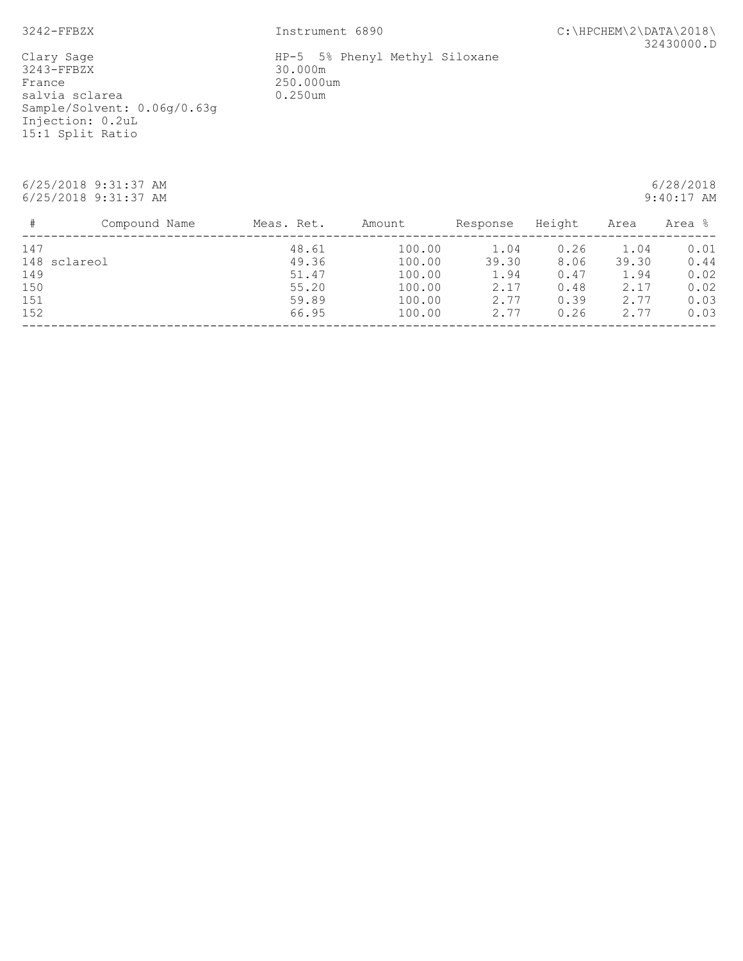3242-FFBZX Instrument 6890 C:\HPCHEM\2\DATA\2018\ 32430000.D

Clary Sage<br>3243-FFBZX France 250.000um<br>salvia sclarea (1999) 0.250um salvia sclarea Sample/Solvent: 0.06g/0.63g Injection: 0.2uL 15:1 Split Ratio

 6/25/2018 9:31:37 AM 6/28/2018 6/25/2018 9:31:37 AM

| #   | Compound Name | Meas. Ret. | Amount | Response | Height | Area  | Area % |
|-----|---------------|------------|--------|----------|--------|-------|--------|
| 147 |               | 48.61      | 100.00 | 1.04     | 0.26   | 1.04  | 0.01   |
|     | 148 sclareol  | 49.36      | 100.00 | 39.30    | 8.06   | 39.30 | 0.44   |
| 149 |               | 51.47      | 100.00 | 1.94     | 0.47   | 1.94  | 0.02   |
| 150 |               | 55.20      | 100.00 | 2.17     | 0.48   | 2.17  | 0.02   |
| 151 |               | 59.89      | 100.00 | 2.77     | 0.39   | 2.77  | 0.03   |
| 152 |               | 66.95      | 100.00 | 2.77     | 0.26   | 2.77  | 0.03   |
|     |               |            |        |          |        |       |        |

HP-5 5% Phenyl Methyl Siloxane<br>30.000m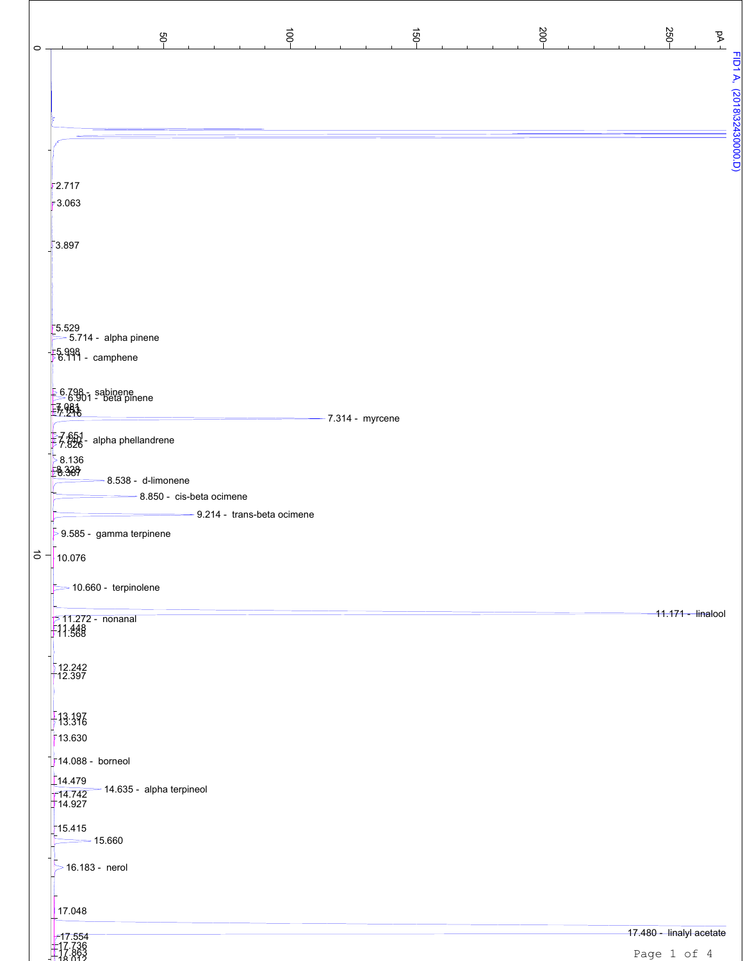| $\vec{e}$<br>$\overrightarrow{50}$<br>ęp                             | 200- | 250-<br>$\Delta$         |
|----------------------------------------------------------------------|------|--------------------------|
|                                                                      |      |                          |
|                                                                      |      |                          |
|                                                                      |      |                          |
| 2.717                                                                |      |                          |
| 3.063                                                                |      |                          |
| 3.897                                                                |      |                          |
|                                                                      |      |                          |
| 5.529<br>$\geq 5.714$ - alpha pinene                                 |      |                          |
| $\frac{1}{2}$ 5.998<br>$\frac{1}{2}$ 6.111 - camphene                |      |                          |
| $\frac{56.798}{6.901}$ - beta pinene<br>$\frac{7}{57}$ .248          |      |                          |
| $-7.314 - myrcene$<br>影图-<br>alpha phellandrene                      |      |                          |
| $\frac{58.136}{28.367}$                                              |      |                          |
| 8.538 - d-limonene<br>8.850 - cis-beta ocimene                       |      |                          |
| 9.214 - trans-beta ocimene<br>$\overline{>}$ 9.585 - gamma terpinene |      |                          |
| $\overrightarrow{0}$ $\overrightarrow{1}$ 10.076                     |      |                          |
| $\geq$ 10.660 - terpinolene                                          |      | 11.171 - linalool        |
| <mark>≶ 11.272 - nonanal</mark><br>- 11.448<br>- 11.568              |      |                          |
| 12.242                                                               |      |                          |
| 13.396                                                               |      |                          |
| 13.630<br>$\frac{1}{2}$ 14.088 - borneol                             |      |                          |
| $\left[14.479\right]$<br>-14.635 - alpha terpineol                   |      |                          |
| 14.742<br>715.415                                                    |      |                          |
| $\equiv$ 15.660                                                      |      |                          |
| $>$ 16.183 - nerol                                                   |      |                          |
| 17.048                                                               |      | 17.480 - linalyl acetate |
| $717.554$<br>$717.736$<br>$142.863$                                  |      | Page 1 of 4              |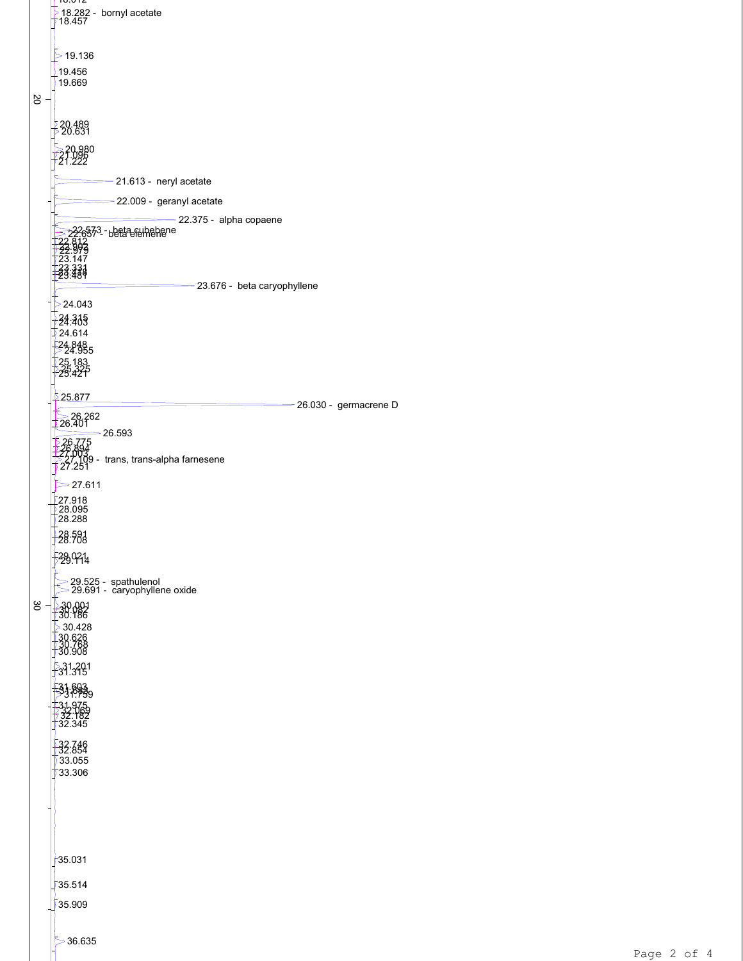|     | 10.012<br><u>5</u> 18.282 - bornyl acetate<br>∤ 18.457        |
|-----|---------------------------------------------------------------|
|     |                                                               |
|     | >19.136                                                       |
|     | 19.456<br>19.669                                              |
| 2O  |                                                               |
|     | 20.489<br>20.631                                              |
|     |                                                               |
|     | - 20.980<br>21.098<br>21.222                                  |
|     | -21.613 - neryl acetate                                       |
|     | -22.009 - geranyl acetate                                     |
|     | $-22.375 - alpha copaene$<br>22.6573 - beta subebene          |
|     | 993<br>147                                                    |
|     | 23.331<br>23.480                                              |
|     | - 23.676 - beta caryophyllene<br>24.043                       |
|     | -24:335                                                       |
|     | 24.614<br>24885                                               |
|     | -25.183<br>-25.225<br>-25.425                                 |
|     |                                                               |
|     | <u> 25.877</u><br>-26.030 - germacrene D                      |
|     | $\geq 26.262$<br>$-26.593$                                    |
|     |                                                               |
|     | s <sup>2</sup> 7'Yd9 - trans, trans-alpha farnesene<br>27.251 |
|     | >27.611                                                       |
|     | <mark>.</mark> 27.918<br><u>↓</u> 28.095<br>28.288            |
|     | $\frac{1}{28}.583$                                            |
|     | 528.9214                                                      |
|     | ≥ 29.525 - spathulenol<br>29.691 - caryophyllene oxide        |
| ပ္တ | $\frac{30.001}{130.186}$                                      |
|     | $\geq 30.428$                                                 |
|     | 30.626<br>30.768<br>30.908                                    |
|     | $\frac{5}{3}$ 31,201                                          |
|     |                                                               |
|     | $-32.345$                                                     |
|     |                                                               |
|     | $\frac{132.746}{32.854}$<br>733.055                           |
|     | ₹33.306                                                       |
|     |                                                               |
|     |                                                               |
|     | 735.031                                                       |
|     |                                                               |
|     | 35.514<br>35.909                                              |
|     |                                                               |
|     |                                                               |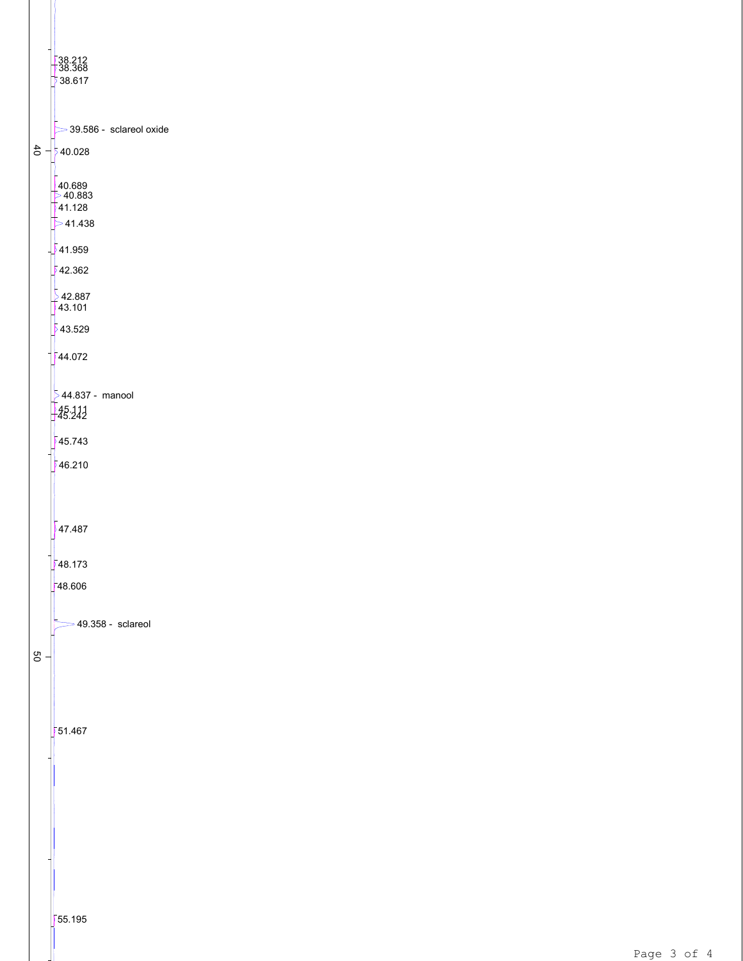